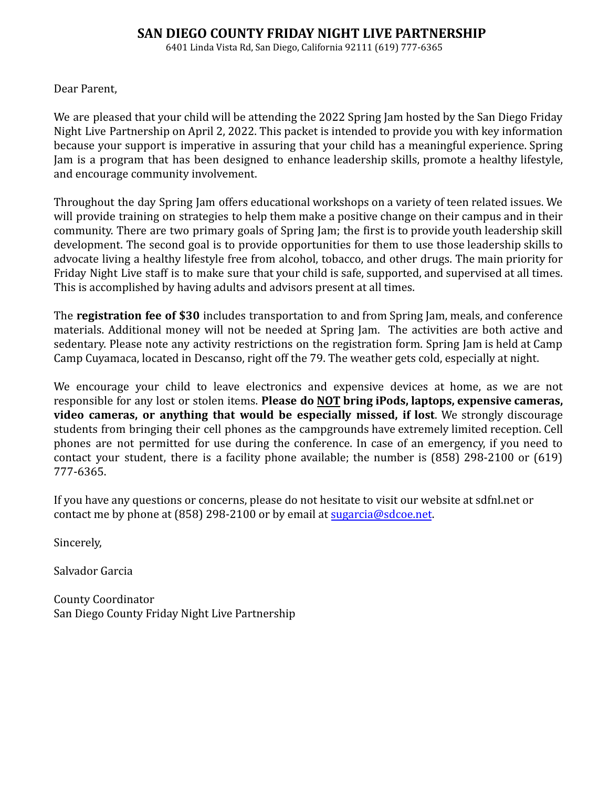# **SAN DIEGO COUNTY FRIDAY NIGHT LIVE PARTNERSHIP**

6401 Linda Vista Rd, San Diego, California 92111 (619) 777-6365

Dear Parent,

We are pleased that your child will be attending the 2022 Spring Jam hosted by the San Diego Friday Night Live Partnership on April 2, 2022. This packet is intended to provide you with key information because your support is imperative in assuring that your child has a meaningful experience. Spring Jam is a program that has been designed to enhance leadership skills, promote a healthy lifestyle, and encourage community involvement.

Throughout the day Spring Jam offers educational workshops on a variety of teen related issues. We will provide training on strategies to help them make a positive change on their campus and in their community. There are two primary goals of Spring Jam; the first is to provide youth leadership skill development. The second goal is to provide opportunities for them to use those leadership skills to advocate living a healthy lifestyle free from alcohol, tobacco, and other drugs. The main priority for Friday Night Live staff is to make sure that your child is safe, supported, and supervised at all times. This is accomplished by having adults and advisors present at all times.

The **registration fee of \$30** includes transportation to and from Spring Jam, meals, and conference materials. Additional money will not be needed at Spring Jam. The activities are both active and sedentary. Please note any activity restrictions on the registration form. Spring Jam is held at Camp Camp Cuyamaca, located in Descanso, right off the 79. The weather gets cold, especially at night.

We encourage your child to leave electronics and expensive devices at home, as we are not responsible for any lost or stolen items. **Please do NOT bring iPods, laptops, expensive cameras, video cameras, or anything that would be especially missed, if lost**. We strongly discourage students from bringing their cell phones as the campgrounds have extremely limited reception. Cell phones are not permitted for use during the conference. In case of an emergency, if you need to contact your student, there is a facility phone available; the number is (858) 298-2100 or (619) 777-6365.

If you have any questions or concerns, please do not hesitate to visit our website at sdfnl.net or contact me by phone at (858) 298-2100 or by email at sugarcia@sdcoe.net.

Sincerely,

Salvador Garcia

County Coordinator San Diego County Friday Night Live Partnership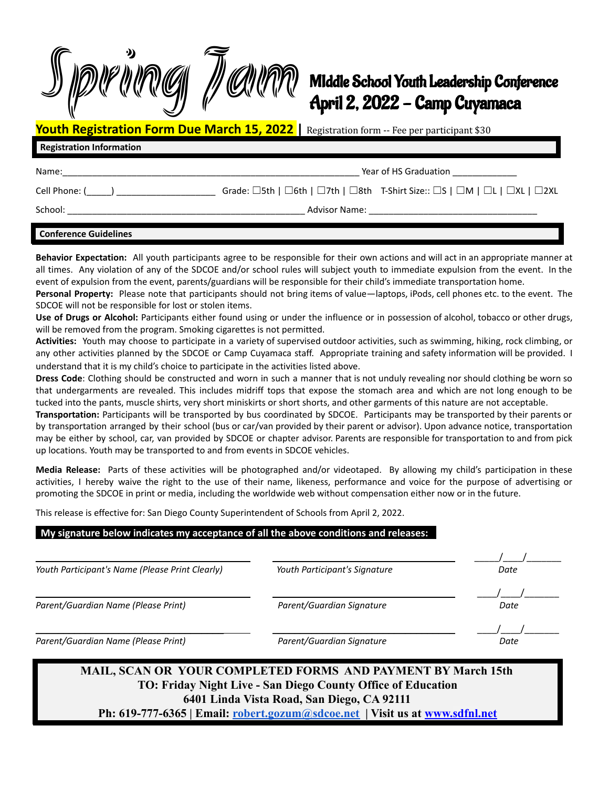

# MIddle School Youth Leadership Conference April 2, 2022 - Camp Cuyamaca

**Youth Registration Form Due March 15, 2022 |** Registration form -- Fee per participant \$30

## **Registration Information**

Name: The contract of the contract of the contract of the contract of the Graduation  $\frac{1}{\sqrt{2\pi}}$ 

Cell Phone: (\_\_\_) \_\_\_\_\_\_\_\_\_\_\_\_\_\_\_\_\_\_\_\_\_\_\_\_ Grade: □5th | □6th | □7th | □8th T-Shirt Size:: □S | □M | □L | □XL | □2XL

School: \_\_\_\_\_\_\_\_\_\_\_\_\_\_\_\_\_\_\_\_\_\_\_\_\_\_\_\_\_\_\_\_\_\_\_\_\_\_\_\_\_\_\_\_\_\_\_\_ Advisor Name: \_\_\_\_\_\_\_\_\_\_\_\_\_\_\_\_\_\_\_\_\_\_\_\_\_\_\_\_\_\_\_\_\_\_

#### **Conference Guidelines**

**Behavior Expectation:** All youth participants agree to be responsible for their own actions and will act in an appropriate manner at all times. Any violation of any of the SDCOE and/or school rules will subject youth to immediate expulsion from the event. In the event of expulsion from the event, parents/guardians will be responsible for their child's immediate transportation home.

**Personal Property:** Please note that participants should not bring items of value—laptops, iPods, cell phones etc. to the event. The SDCOE will not be responsible for lost or stolen items.

**Use of Drugs or Alcohol:** Participants either found using or under the influence or in possession of alcohol, tobacco or other drugs, will be removed from the program. Smoking cigarettes is not permitted.

**Activities:** Youth may choose to participate in a variety of supervised outdoor activities, such as swimming, hiking, rock climbing, or any other activities planned by the SDCOE or Camp Cuyamaca staff. Appropriate training and safety information will be provided. I understand that it is my child's choice to participate in the activities listed above.

**Dress Code**: Clothing should be constructed and worn in such a manner that is not unduly revealing nor should clothing be worn so that undergarments are revealed. This includes midriff tops that expose the stomach area and which are not long enough to be tucked into the pants, muscle shirts, very short miniskirts or short shorts, and other garments of this nature are not acceptable.

**Transportation:** Participants will be transported by bus coordinated by SDCOE. Participants may be transported by their parents or by transportation arranged by their school (bus or car/van provided by their parent or advisor). Upon advance notice, transportation may be either by school, car, van provided by SDCOE or chapter advisor. Parents are responsible for transportation to and from pick up locations. Youth may be transported to and from events in SDCOE vehicles.

**Media Release:** Parts of these activities will be photographed and/or videotaped. By allowing my child's participation in these activities, I hereby waive the right to the use of their name, likeness, performance and voice for the purpose of advertising or promoting the SDCOE in print or media, including the worldwide web without compensation either now or in the future.

This release is effective for: San Diego County Superintendent of Schools from April 2, 2022.

#### **My signature below indicates my acceptance of all the above conditions and releases: .**

| Youth Participant's Name (Please Print Clearly) | Youth Participant's Signature | Date |
|-------------------------------------------------|-------------------------------|------|
|                                                 |                               |      |
| Parent/Guardian Name (Please Print)             | Parent/Guardian Signature     | Date |
|                                                 |                               |      |
| Parent/Guardian Name (Please Print)             | Parent/Guardian Signature     | Date |
|                                                 |                               |      |

# **MAIL, SCAN OR YOUR COMPLETED FORMS AND PAYMENT BY March 15th TO: Friday Night Live - San Diego County Office of Education 6401 Linda Vista Road, San Diego, CA 92111**

**Ph: 619-777-6365 | Email: robert.gozum@sdcoe.net | Visit us at www.sdfnl.net**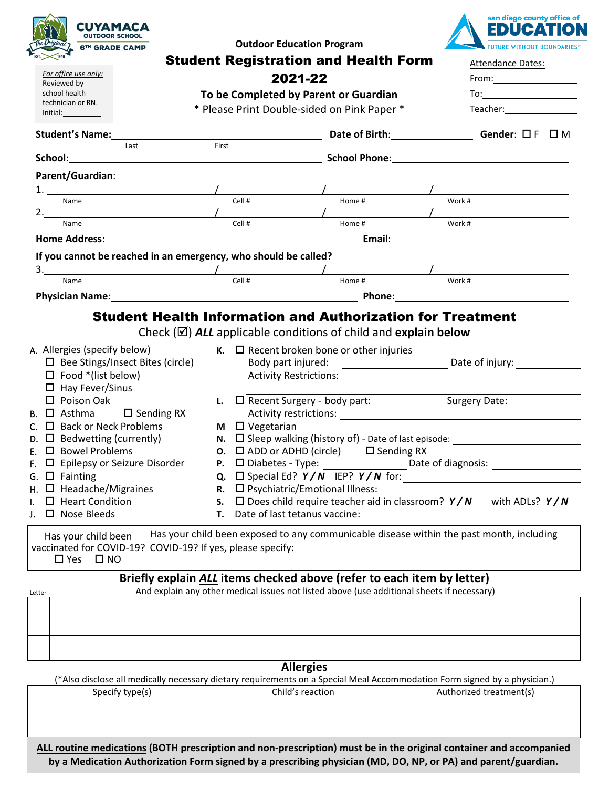| <b>CUYAMACA</b><br><b>OUTDOOR SCHOOL</b><br><b>6TH GRADE CAMP</b><br>For office use only:<br>Reviewed by<br>school health<br>technician or RN.<br>Initial:<br><b>Student's Name:</b><br>Last                                                                                                                                                                                                                                                                                                                                                                                | <b>Outdoor Education Program</b><br><b>Student Registration and Health Form</b><br>2021-22<br>To be Completed by Parent or Guardian<br>* Please Print Double-sided on Pink Paper *<br>First                                                                 |                  | san diego county office of<br>EDUCATI<br><b>FUTURE WITHOUT BOUNDARIES®</b><br>Attendance Dates:<br>Teacher: The control of the control of the control of the control of the control of the control of the control of the control of the control of the control of the control of the control of the control of the control of the<br>Date of Birth: Gender: $\Box F \Box M$                                 |
|-----------------------------------------------------------------------------------------------------------------------------------------------------------------------------------------------------------------------------------------------------------------------------------------------------------------------------------------------------------------------------------------------------------------------------------------------------------------------------------------------------------------------------------------------------------------------------|-------------------------------------------------------------------------------------------------------------------------------------------------------------------------------------------------------------------------------------------------------------|------------------|-------------------------------------------------------------------------------------------------------------------------------------------------------------------------------------------------------------------------------------------------------------------------------------------------------------------------------------------------------------------------------------------------------------|
| Parent/Guardian:<br>Name                                                                                                                                                                                                                                                                                                                                                                                                                                                                                                                                                    | Cell #                                                                                                                                                                                                                                                      | Home #           | Work #                                                                                                                                                                                                                                                                                                                                                                                                      |
| 2. $\qquad \qquad$<br>Name<br>If you cannot be reached in an emergency, who should be called?<br>$\frac{3}{2}$ . The set of the set of the set of the set of the set of the set of the set of the set of the set of the set of the set of the set of the set of the set of the set of the set of the set of the set of the set of<br>Name<br>Physician Name: Name and South American Communication of the Phone: Phone: Phone: Name and South American Communication of the Communication of the Communication of the Communication of the Communication of the Communicati | Cell #<br>Cell #                                                                                                                                                                                                                                            | Home #<br>Home # | Work #<br>Work #                                                                                                                                                                                                                                                                                                                                                                                            |
| A. Allergies (specify below)<br>$\Box$ Bee Stings/Insect Bites (circle)<br>$\Box$ Food *(list below)<br>$\Box$ Hay Fever/Sinus<br>$\Box$ Poison Oak<br><b>B.</b> $\Box$ Asthma $\Box$ Sending RX<br>C. $\Box$ Back or Neck Problems<br>D. $\Box$ Bedwetting (currently)<br>$E.$ $\Box$ Bowel Problems<br>F. $\Box$ Epilepsy or Seizure Disorder<br>G. $\Box$ Fainting<br>$H.$ $\Box$ Headache/Migraines<br>$\Box$ Heart Condition<br>$\square$ Nose Bleeds<br>J.                                                                                                            | Check $(\boxtimes)$ ALL applicable conditions of child and explain below<br>$\kappa$ . $\Box$ Recent broken bone or other injuries<br>$M \square$ Vegetarian<br>$\square$ Psychiatric/Emotional Illness:<br>R.<br>S.<br>Date of last tetanus vaccine:<br>Т. |                  | <b>Student Health Information and Authorization for Treatment</b><br>Activity restrictions: Activity restrictions:<br>N. $\Box$ Sleep walking (history of) - Date of last episode: ______________________<br><b>O.</b> $\Box$ ADD or ADHD (circle) $\Box$ Sending RX<br><b>Q.</b> $\Box$ Special Ed? $Y/N$ IEP? $Y/N$ for:<br>$\Box$ Does child require teacher aid in classroom? $Y/N$<br>with ADLs? $Y/N$ |
| Has your child been<br>vaccinated for COVID-19?<br>$\Box$ Yes $\Box$ NO<br>Letter                                                                                                                                                                                                                                                                                                                                                                                                                                                                                           | COVID-19? If yes, please specify:<br>Briefly explain ALL items checked above (refer to each item by letter)<br><b>Allergies</b>                                                                                                                             |                  | Has your child been exposed to any communicable disease within the past month, including<br>And explain any other medical issues not listed above (use additional sheets if necessary)                                                                                                                                                                                                                      |
| Specify type(s)                                                                                                                                                                                                                                                                                                                                                                                                                                                                                                                                                             | Child's reaction                                                                                                                                                                                                                                            |                  | (*Also disclose all medically necessary dietary requirements on a Special Meal Accommodation Form signed by a physician.)<br>Authorized treatment(s)                                                                                                                                                                                                                                                        |

**ALL routine medications (BOTH prescription and non-prescription) must be in the original container and accompanied by a Medication Authorization Form signed by a prescribing physician (MD, DO, NP, or PA) and parent/guardian.**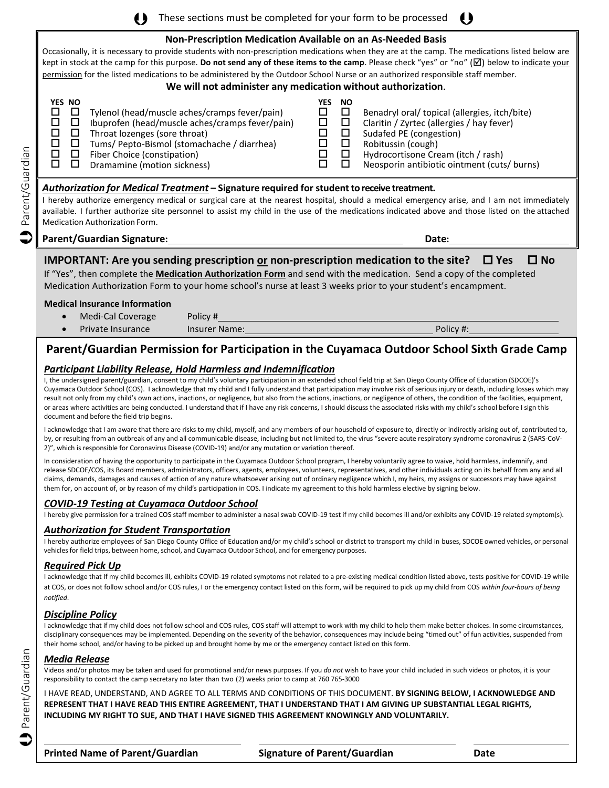() These sections must be completed for your form to be processed ()

#### **Non-Prescription Medication Available on an As-Needed Basis**

Occasionally, it is necessary to provide students with non-prescription medications when they are at the camp. The medications listed below are kept in stock at the camp for this purpose. **Do not send any of these items to the camp**. Please check "yes" or "no" (⊠) below to indicate your permission for the listed medications to be administered by the Outdoor School Nurse or an authorized responsible staff member.

#### **We will not administer any medication without authorization**.

| YES NO<br>Tylenol (head/muscle aches/cramps fever/pain)<br>Ibuprofen (head/muscle aches/cramps fever/pain)<br>Throat lozenges (sore throat)<br>Tums/ Pepto-Bismol (stomachache / diarrhea)<br>Fiber Choice (constipation)<br>Dramamine (motion sickness) | NO.<br>/ES<br>Benadryl oral/ topical (allergies, itch/bite)<br>Claritin / Zyrtec (allergies / hay fever)<br>Sudafed PE (congestion)<br>Robitussin (cough)<br>Hydrocortisone Cream (itch / rash)<br>Neosporin antibiotic ointment (cuts/ burns) |
|----------------------------------------------------------------------------------------------------------------------------------------------------------------------------------------------------------------------------------------------------------|------------------------------------------------------------------------------------------------------------------------------------------------------------------------------------------------------------------------------------------------|
|----------------------------------------------------------------------------------------------------------------------------------------------------------------------------------------------------------------------------------------------------------|------------------------------------------------------------------------------------------------------------------------------------------------------------------------------------------------------------------------------------------------|

#### *Authorization for Medical Treatment* **– Signature required for student to receive treatment.**

I hereby authorize emergency medical or surgical care at the nearest hospital, should a medical emergency arise, and I am not immediately available. I further authorize site personnel to assist my child in the use of the medications indicated above and those listed on the attached Medication Authorization Form.

**Parent/Guardian Signature: Date:**

 $\bullet$ 

Parent/Guardian Parent/Guardian

### **IMPORTANT:** Are you sending prescription <u>or</u> non-prescription medication to the site? □ Yes □ No

If "Yes", then complete the **Medication Authorization Form** and send with the medication. Send a copy of the completed Medication Authorization Form to your home school's nurse at least 3 weeks prior to your student's encampment.

#### **Medical Insurance Information**

| Medi-Cal Coverage | Policy #      |           |
|-------------------|---------------|-----------|
| Private Insurance | Insurer Name: | Policy #: |

# **Parent/Guardian Permission for Participation in the Cuyamaca Outdoor School Sixth Grade Camp**

#### *Participant Liability Release, Hold Harmless and Indemnification*

I, the undersigned parent/guardian, consent to my child's voluntary participation in an extended school field trip at San Diego County Office of Education (SDCOE)'s Cuyamaca Outdoor School (COS). I acknowledge that my child and I fully understand that participation may involve risk of serious injury or death, including losses which may result not only from my child's own actions, inactions, or negligence, but also from the actions, inactions, or negligence of others, the condition of the facilities, equipment, or areas where activities are being conducted. I understand that if I have any risk concerns, I should discuss the associated risks with my child's school before I sign this document and before the field trip begins.

I acknowledge that I am aware that there are risks to my child, myself, and any members of our household of exposure to, directly or indirectly arising out of, contributed to, by, or resulting from an outbreak of any and all communicable disease, including but not limited to, the virus "severe acute respiratory syndrome coronavirus 2 (SARS-CoV-2)", which is responsible for Coronavirus Disease (COVID-19) and/or any mutation or variation thereof.

In consideration of having the opportunity to participate in the Cuyamaca Outdoor School program, I hereby voluntarily agree to waive, hold harmless, indemnify, and release SDCOE/COS, its Board members, administrators, officers, agents, employees, volunteers, representatives, and other individuals acting on its behalf from any and all claims, demands, damages and causes of action of any nature whatsoever arising out of ordinary negligence which I, my heirs, my assigns or successors may have against them for, on account of, or by reason of my child's participation in COS. I indicate my agreement to this hold harmless elective by signing below.

#### *COVID-19 Testing at Cuyamaca Outdoor School*

I hereby give permission for a trained COS staff member to administer a nasal swab COVID-19 test if my child becomes ill and/or exhibits any COVID-19 related symptom(s).

#### *Authorization for Student Transportation*

I hereby authorize employees of San Diego County Office of Education and/or my child's school or district to transport my child in buses, SDCOE owned vehicles, or personal vehicles for field trips, between home, school, and Cuyamaca Outdoor School, and for emergency purposes.

#### *Required Pick Up*

I acknowledge that If my child becomes ill, exhibits COVID-19 related symptoms not related to a pre-existing medical condition listed above, tests positive for COVID-19 while at COS, or does not follow school and/or COS rules, I or the emergency contact listed on this form, will be required to pick up my child from COS *within four-hours of being notified*.

#### *Discipline Policy*

I acknowledge that if my child does not follow school and COS rules, COS staff will attempt to work with my child to help them make better choices. In some circumstances, disciplinary consequences may be implemented. Depending on the severity of the behavior, consequences may include being "timed out" of fun activities, suspended from their home school, and/or having to be picked up and brought home by me or the emergency contact listed on this form.

#### *Media Release*

Videos and/or photos may be taken and used for promotional and/or news purposes. If you *do not* wish to have your child included in such videos or photos, it is your responsibility to contact the camp secretary no later than two (2) weeks prior to camp at 760 765-3000

I HAVE READ, UNDERSTAND, AND AGREE TO ALL TERMS AND CONDITIONS OF THIS DOCUMENT. **BY SIGNING BELOW, I ACKNOWLEDGE AND REPRESENT THAT I HAVE READ THIS ENTIRE AGREEMENT, THAT I UNDERSTAND THAT I AM GIVING UP SUBSTANTIAL LEGAL RIGHTS, INCLUDING MY RIGHT TO SUE, AND THAT I HAVE SIGNED THIS AGREEMENT KNOWINGLY AND VOLUNTARILY.**

 $\overline{a}$